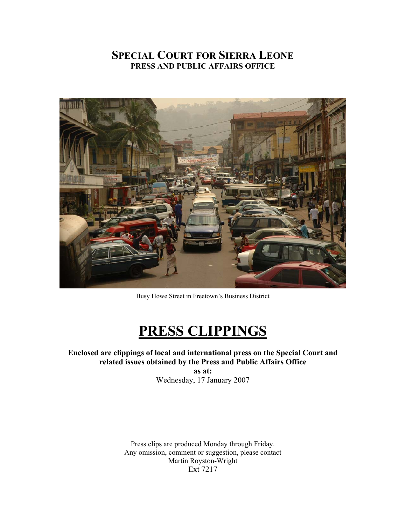## **SPECIAL COURT FOR SIERRA LEONE PRESS AND PUBLIC AFFAIRS OFFICE**



Busy Howe Street in Freetown's Business District

# **PRESS CLIPPINGS**

## **Enclosed are clippings of local and international press on the Special Court and related issues obtained by the Press and Public Affairs Office**

**as at:**  Wednesday, 17 January 2007

Press clips are produced Monday through Friday. Any omission, comment or suggestion, please contact Martin Royston-Wright Ext 7217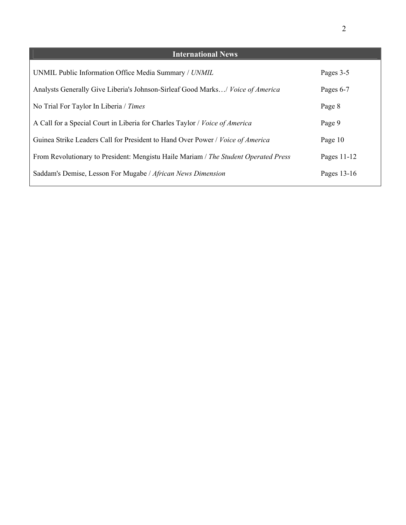| <b>International News</b>                                                           |             |
|-------------------------------------------------------------------------------------|-------------|
| UNMIL Public Information Office Media Summary / UNMIL                               | Pages 3-5   |
| Analysts Generally Give Liberia's Johnson-Sirleaf Good Marks/ Voice of America      | Pages 6-7   |
| No Trial For Taylor In Liberia / Times                                              | Page 8      |
| A Call for a Special Court in Liberia for Charles Taylor / Voice of America         | Page 9      |
| Guinea Strike Leaders Call for President to Hand Over Power / Voice of America      | Page 10     |
| From Revolutionary to President: Mengistu Haile Mariam / The Student Operated Press | Pages 11-12 |
| Saddam's Demise, Lesson For Mugabe / African News Dimension                         | Pages 13-16 |
|                                                                                     |             |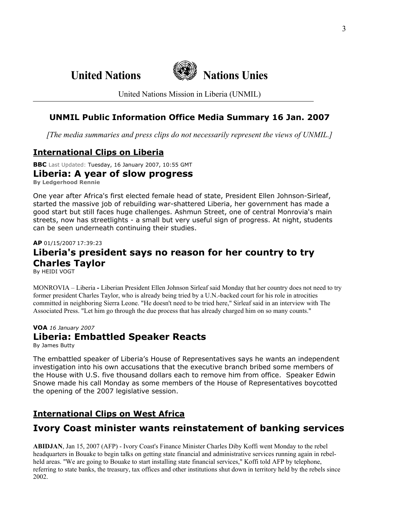

United Nations Mission in Liberia (UNMIL)

## **UNMIL Public Information Office Media Summary 16 Jan. 2007**

*[The media summaries and press clips do not necessarily represent the views of UNMIL.]*

## **International Clips on Liberia**

**BBC** Last Updated: Tuesday, 16 January 2007, 10:55 GMT

#### **Liberia: A year of slow progress**

**By Ledgerhood Rennie**

One year after Africa's first elected female head of state, President Ellen Johnson-Sirleaf, started the massive job of rebuilding war-shattered Liberia, her government has made a good start but still faces huge challenges. Ashmun Street, one of central Monrovia's main streets, now has streetlights - a small but very useful sign of progress. At night, students can be seen underneath continuing their studies.

**AP** 01/15/2007 17:39:23

## **Liberia's president says no reason for her country to try Charles Taylor**

By HEIDI VOGT

MONROVIA – Liberia **-** Liberian President Ellen Johnson Sirleaf said Monday that her country does not need to try former president Charles Taylor, who is already being tried by a U.N.-backed court for his role in atrocities committed in neighboring Sierra Leone. "He doesn't need to be tried here," Sirleaf said in an interview with The Associated Press. "Let him go through the due process that has already charged him on so many counts."

## **VOA** *16 January 2007* **Liberia: Embattled Speaker Reacts**

By James Butty

The embattled speaker of Liberia's House of Representatives says he wants an independent investigation into his own accusations that the executive branch bribed some members of the House with U.S. five thousand dollars each to remove him from office. Speaker Edwin Snowe made his call Monday as some members of the House of Representatives boycotted the opening of the 2007 legislative session.

## **International Clips on West Africa**

## **Ivory Coast minister wants reinstatement of banking services**

**ABIDJAN**, Jan 15, 2007 (AFP) - Ivory Coast's Finance Minister Charles Diby Koffi went Monday to the rebel headquarters in Bouake to begin talks on getting state financial and administrative services running again in rebelheld areas. "We are going to Bouake to start installing state financial services," Koffi told AFP by telephone, referring to state banks, the treasury, tax offices and other institutions shut down in territory held by the rebels since 2002.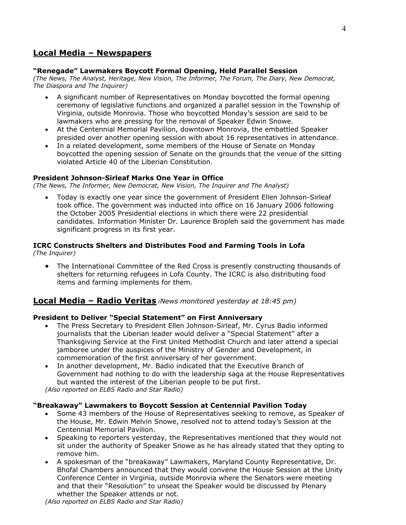#### **Local Media – Newspapers**

#### **"Renegade" Lawmakers Boycott Formal Opening, Held Parallel Session**

*(The News, The Analyst, Heritage, New Vision, The Informer, The Forum, The Diary, New Democrat, The Diaspora and The Inquirer)* 

- A significant number of Representatives on Monday boycotted the formal opening ceremony of legislative functions and organized a parallel session in the Township of Virginia, outside Monrovia. Those who boycotted Monday's session are said to be lawmakers who are pressing for the removal of Speaker Edwin Snowe.
- At the Centennial Memorial Pavilion, downtown Monrovia, the embattled Speaker presided over another opening session with about 16 representatives in attendance.
- In a related development, some members of the House of Senate on Monday boycotted the opening session of Senate on the grounds that the venue of the sitting violated Article 40 of the Liberian Constitution.

#### **President Johnson-Sirleaf Marks One Year in Office**

*(The News, The Informer, New Democrat, New Vision, The Inquirer and The Analyst)* 

• Today is exactly one year since the government of President Ellen Johnson-Sirleaf took office. The government was inducted into office on 16 January 2006 following the October 2005 Presidential elections in which there were 22 presidential candidates. Information Minister Dr. Laurence Bropleh said the government has made significant progress in its first year.

#### **ICRC Constructs Shelters and Distributes Food and Farming Tools in Lofa**  *(The Inquirer)*

• The International Committee of the Red Cross is presently constructing thousands of shelters for returning refugees in Lofa County. The ICRC is also distributing food items and farming implements for them.

#### **Local Media – Radio Veritas** *(News monitored yesterday at 18:45 pm)*

#### **President to Deliver "Special Statement" on First Anniversary**

- The Press Secretary to President Ellen Johnson-Sirleaf, Mr. Cyrus Badio informed journalists that the Liberian leader would deliver a "Special Statement" after a Thanksgiving Service at the First United Methodist Church and later attend a special jamboree under the auspices of the Ministry of Gender and Development, in commemoration of the first anniversary of her government.
- In another development, Mr. Badio indicated that the Executive Branch of Government had nothing to do with the leadership saga at the House Representatives but wanted the interest of the Liberian people to be put first.

*(Also reported on ELBS Radio and Star Radio)*

#### **"Breakaway" Lawmakers to Boycott Session at Centennial Pavilion Today**

- Some 43 members of the House of Representatives seeking to remove, as Speaker of the House, Mr. Edwin Melvin Snowe, resolved not to attend today's Session at the Centennial Memorial Pavilion.
- Speaking to reporters yesterday, the Representatives mentioned that they would not sit under the authority of Speaker Snowe as he has already stated that they opting to remove him.
- A spokesman of the "breakaway" Lawmakers, Maryland County Representative, Dr. Bhofal Chambers announced that they would convene the House Session at the Unity Conference Center in Virginia, outside Monrovia where the Senators were meeting and that their "Resolution" to unseat the Speaker would be discussed by Plenary whether the Speaker attends or not.

*(Also reported on ELBS Radio and Star Radio)*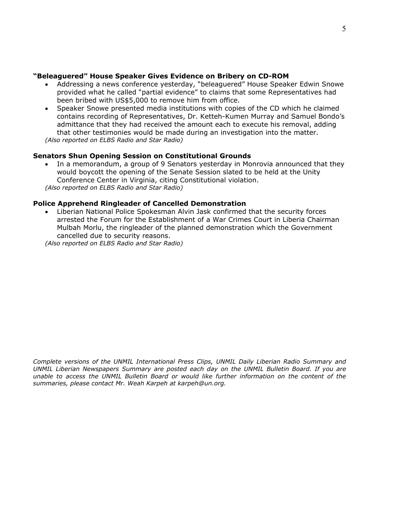#### **"Beleaguered" House Speaker Gives Evidence on Bribery on CD-ROM**

- Addressing a news conference yesterday, "beleaguered" House Speaker Edwin Snowe provided what he called "partial evidence" to claims that some Representatives had been bribed with US\$5,000 to remove him from office.
- Speaker Snowe presented media institutions with copies of the CD which he claimed contains recording of Representatives, Dr. Ketteh-Kumen Murray and Samuel Bondo's admittance that they had received the amount each to execute his removal, adding that other testimonies would be made during an investigation into the matter.

*(Also reported on ELBS Radio and Star Radio)*

#### **Senators Shun Opening Session on Constitutional Grounds**

In a memorandum, a group of 9 Senators yesterday in Monrovia announced that they would boycott the opening of the Senate Session slated to be held at the Unity Conference Center in Virginia, citing Constitutional violation. *(Also reported on ELBS Radio and Star Radio)*

#### **Police Apprehend Ringleader of Cancelled Demonstration**

• Liberian National Police Spokesman Alvin Jask confirmed that the security forces arrested the Forum for the Establishment of a War Crimes Court in Liberia Chairman Mulbah Morlu, the ringleader of the planned demonstration which the Government cancelled due to security reasons.

*(Also reported on ELBS Radio and Star Radio)* 

*Complete versions of the UNMIL International Press Clips, UNMIL Daily Liberian Radio Summary and UNMIL Liberian Newspapers Summary are posted each day on the UNMIL Bulletin Board. If you are unable to access the UNMIL Bulletin Board or would like further information on the content of the summaries, please contact Mr. Weah Karpeh at karpeh@un.org.*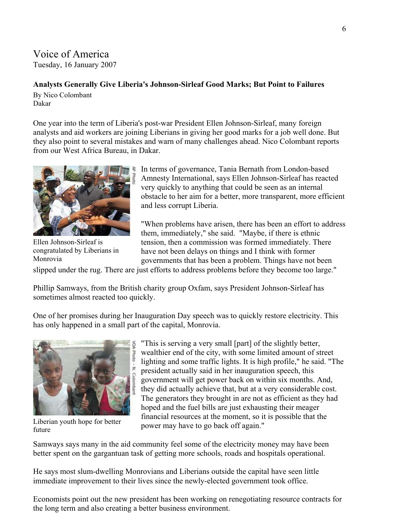## Voice of America Tuesday, 16 January 2007

#### **Analysts Generally Give Liberia's Johnson-Sirleaf Good Marks; But Point to Failures**

By Nico Colombant Dakar

One year into the term of Liberia's post-war President Ellen Johnson-Sirleaf, many foreign analysts and aid workers are joining Liberians in giving her good marks for a job well done. But they also point to several mistakes and warn of many challenges ahead. Nico Colombant reports from our West Africa Bureau, in Dakar.



Ellen Johnson-Sirleaf is congratulated by Liberians in Monrovia

In terms of governance, Tania Bernath from London-based Amnesty International, says Ellen Johnson-Sirleaf has reacted very quickly to anything that could be seen as an internal obstacle to her aim for a better, more transparent, more efficient and less corrupt Liberia.

"When problems have arisen, there has been an effort to address them, immediately," she said. "Maybe, if there is ethnic tension, then a commission was formed immediately. There have not been delays on things and I think with former governments that has been a problem. Things have not been

slipped under the rug. There are just efforts to address problems before they become too large."

Phillip Samways, from the British charity group Oxfam, says President Johnson-Sirleaf has sometimes almost reacted too quickly.

One of her promises during her Inauguration Day speech was to quickly restore electricity. This has only happened in a small part of the capital, Monrovia.



future

"This is serving a very small [part] of the slightly better, wealthier end of the city, with some limited amount of street lighting and some traffic lights. It is high profile," he said. "The president actually said in her inauguration speech, this government will get power back on within six months. And, they did actually achieve that, but at a very considerable cost. The generators they brought in are not as efficient as they had hoped and the fuel bills are just exhausting their meager financial resources at the moment, so it is possible that the power may have to go back off again." Liberian youth hope for better

Samways says many in the aid community feel some of the electricity money may have been better spent on the gargantuan task of getting more schools, roads and hospitals operational.

He says most slum-dwelling Monrovians and Liberians outside the capital have seen little immediate improvement to their lives since the newly-elected government took office.

Economists point out the new president has been working on renegotiating resource contracts for the long term and also creating a better business environment.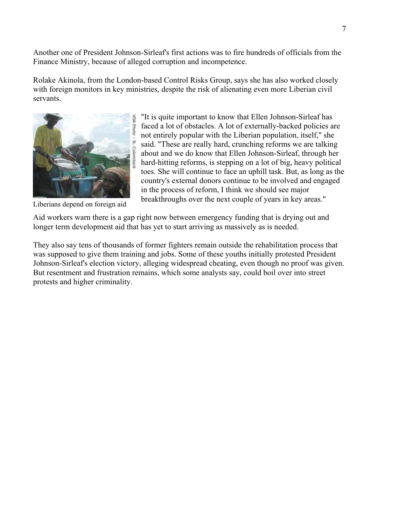Another one of President Johnson-Sirleaf's first actions was to fire hundreds of officials from the Finance Ministry, because of alleged corruption and incompetence.

Rolake Akinola, from the London-based Control Risks Group, says she has also worked closely with foreign monitors in key ministries, despite the risk of alienating even more Liberian civil servants.



"It is quite important to know that Ellen Johnson-Sirleaf has faced a lot of obstacles. A lot of externally-backed policies are not entirely popular with the Liberian population, itself," she said. "These are really hard, crunching reforms we are talking about and we do know that Ellen Johnson-Sirleaf, through her hard-hitting reforms, is stepping on a lot of big, heavy political toes. She will continue to face an uphill task. But, as long as the country's external donors continue to be involved and engaged in the process of reform, I think we should see major breakthroughs over the next couple of years in key areas." Liberians depend on foreign aid

Aid workers warn there is a gap right now between emergency funding that is drying out and longer term development aid that has yet to start arriving as massively as is needed.

They also say tens of thousands of former fighters remain outside the rehabilitation process that was supposed to give them training and jobs. Some of these youths initially protested President Johnson-Sirleaf's election victory, alleging widespread cheating, even though no proof was given. But resentment and frustration remains, which some analysts say, could boil over into street protests and higher criminality.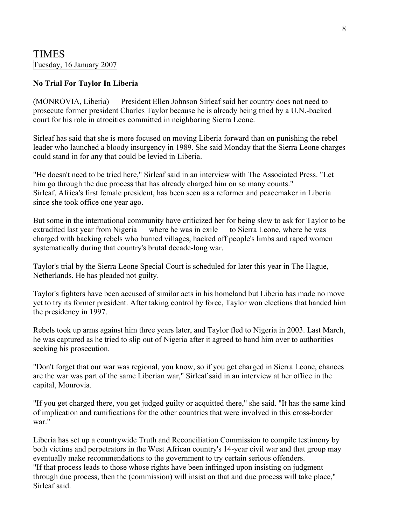## TIMES Tuesday, 16 January 2007

#### **No Trial For Taylor In Liberia**

(MONROVIA, Liberia) — President Ellen Johnson Sirleaf said her country does not need to prosecute former president Charles Taylor because he is already being tried by a U.N.-backed court for his role in atrocities committed in neighboring Sierra Leone.

Sirleaf has said that she is more focused on moving Liberia forward than on punishing the rebel leader who launched a bloody insurgency in 1989. She said Monday that the Sierra Leone charges could stand in for any that could be levied in Liberia.

"He doesn't need to be tried here," Sirleaf said in an interview with The Associated Press. "Let him go through the due process that has already charged him on so many counts." Sirleaf, Africa's first female president, has been seen as a reformer and peacemaker in Liberia since she took office one year ago.

But some in the international community have criticized her for being slow to ask for Taylor to be extradited last year from Nigeria — where he was in exile — to Sierra Leone, where he was charged with backing rebels who burned villages, hacked off people's limbs and raped women systematically during that country's brutal decade-long war.

Taylor's trial by the Sierra Leone Special Court is scheduled for later this year in The Hague, Netherlands. He has pleaded not guilty.

Taylor's fighters have been accused of similar acts in his homeland but Liberia has made no move yet to try its former president. After taking control by force, Taylor won elections that handed him the presidency in 1997.

Rebels took up arms against him three years later, and Taylor fled to Nigeria in 2003. Last March, he was captured as he tried to slip out of Nigeria after it agreed to hand him over to authorities seeking his prosecution.

"Don't forget that our war was regional, you know, so if you get charged in Sierra Leone, chances are the war was part of the same Liberian war," Sirleaf said in an interview at her office in the capital, Monrovia.

"If you get charged there, you get judged guilty or acquitted there," she said. "It has the same kind of implication and ramifications for the other countries that were involved in this cross-border war."

Liberia has set up a countrywide Truth and Reconciliation Commission to compile testimony by both victims and perpetrators in the West African country's 14-year civil war and that group may eventually make recommendations to the government to try certain serious offenders. "If that process leads to those whose rights have been infringed upon insisting on judgment through due process, then the (commission) will insist on that and due process will take place," Sirleaf said.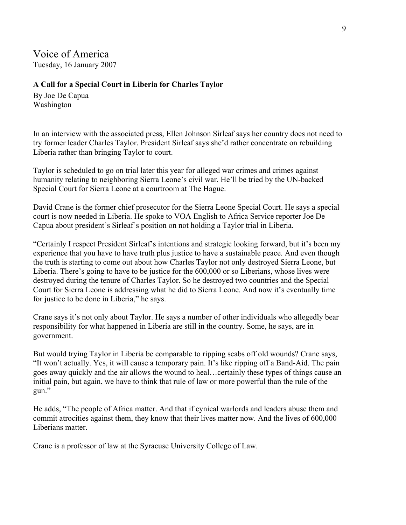## Voice of America

Tuesday, 16 January 2007

### **A Call for a Special Court in Liberia for Charles Taylor**

By Joe De Capua Washington

In an interview with the associated press, Ellen Johnson Sirleaf says her country does not need to try former leader Charles Taylor. President Sirleaf says she'd rather concentrate on rebuilding Liberia rather than bringing Taylor to court.

Taylor is scheduled to go on trial later this year for alleged war crimes and crimes against humanity relating to neighboring Sierra Leone's civil war. He'll be tried by the UN-backed Special Court for Sierra Leone at a courtroom at The Hague.

David Crane is the former chief prosecutor for the Sierra Leone Special Court. He says a special court is now needed in Liberia. He spoke to VOA English to Africa Service reporter Joe De Capua about president's Sirleaf's position on not holding a Taylor trial in Liberia.

"Certainly I respect President Sirleaf's intentions and strategic looking forward, but it's been my experience that you have to have truth plus justice to have a sustainable peace. And even though the truth is starting to come out about how Charles Taylor not only destroyed Sierra Leone, but Liberia. There's going to have to be justice for the 600,000 or so Liberians, whose lives were destroyed during the tenure of Charles Taylor. So he destroyed two countries and the Special Court for Sierra Leone is addressing what he did to Sierra Leone. And now it's eventually time for justice to be done in Liberia," he says.

Crane says it's not only about Taylor. He says a number of other individuals who allegedly bear responsibility for what happened in Liberia are still in the country. Some, he says, are in government.

But would trying Taylor in Liberia be comparable to ripping scabs off old wounds? Crane says, "It won't actually. Yes, it will cause a temporary pain. It's like ripping off a Band-Aid. The pain goes away quickly and the air allows the wound to heal…certainly these types of things cause an initial pain, but again, we have to think that rule of law or more powerful than the rule of the gun."

He adds, "The people of Africa matter. And that if cynical warlords and leaders abuse them and commit atrocities against them, they know that their lives matter now. And the lives of 600,000 Liberians matter.

Crane is a professor of law at the Syracuse University College of Law.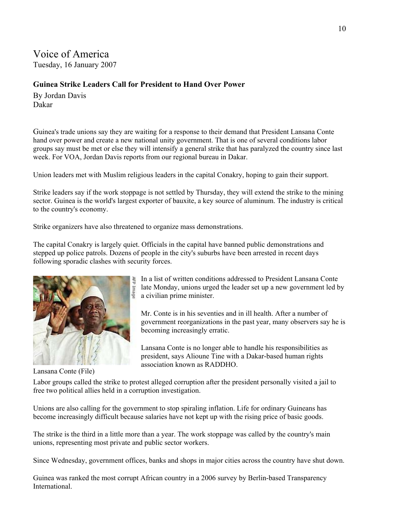## Voice of America

Tuesday, 16 January 2007

## **Guinea Strike Leaders Call for President to Hand Over Power**

By Jordan Davis Dakar

Guinea's trade unions say they are waiting for a response to their demand that President Lansana Conte hand over power and create a new national unity government. That is one of several conditions labor groups say must be met or else they will intensify a general strike that has paralyzed the country since last week. For VOA, Jordan Davis reports from our regional bureau in Dakar.

Union leaders met with Muslim religious leaders in the capital Conakry, hoping to gain their support.

Strike leaders say if the work stoppage is not settled by Thursday, they will extend the strike to the mining sector. Guinea is the world's largest exporter of bauxite, a key source of aluminum. The industry is critical to the country's economy.

Strike organizers have also threatened to organize mass demonstrations.

The capital Conakry is largely quiet. Officials in the capital have banned public demonstrations and stepped up police patrols. Dozens of people in the city's suburbs have been arrested in recent days following sporadic clashes with security forces.



Lansana Conte (File)

In a list of written conditions addressed to President Lansana Conte late Monday, unions urged the leader set up a new government led by a civilian prime minister.

Mr. Conte is in his seventies and in ill health. After a number of government reorganizations in the past year, many observers say he is becoming increasingly erratic.

Lansana Conte is no longer able to handle his responsibilities as president, says Alioune Tine with a Dakar-based human rights association known as RADDHO.

Labor groups called the strike to protest alleged corruption after the president personally visited a jail to free two political allies held in a corruption investigation.

Unions are also calling for the government to stop spiraling inflation. Life for ordinary Guineans has become increasingly difficult because salaries have not kept up with the rising price of basic goods.

The strike is the third in a little more than a year. The work stoppage was called by the country's main unions, representing most private and public sector workers.

Since Wednesday, government offices, banks and shops in major cities across the country have shut down.

Guinea was ranked the most corrupt African country in a 2006 survey by Berlin-based Transparency International.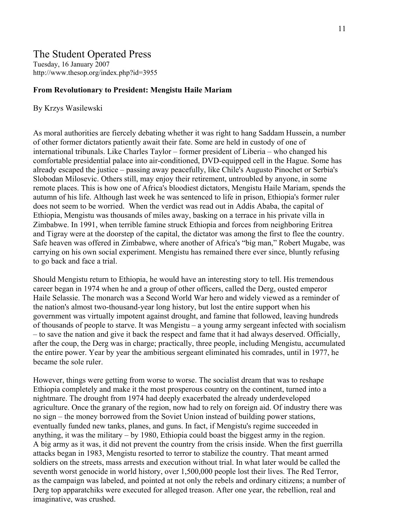## The Student Operated Press

Tuesday, 16 January 2007 <http://www.thesop.org/index.php?id=3955>

#### **From Revolutionary to President: Mengistu Haile Mariam**

#### By Krzys [Wasilewski](http://www.thesop.org/html/writers.php?writer=krzys)

As moral authorities are fiercely debating whether it was right to hang Saddam Hussein, a number of other former dictators patiently await their fate. Some are held in custody of one of international tribunals. Like Charles Taylor – former president of Liberia – who changed his comfortable presidential palace into air-conditioned, DVD-equipped cell in the Hague. Some has already escaped the justice – passing away peacefully, like Chile's Augusto Pinochet or Serbia's Slobodan Milosevic. Others still, may enjoy their retirement, untroubled by anyone, in some remote places. This is how one of Africa's bloodiest dictators, Mengistu Haile Mariam, spends the autumn of his life. Although last week he was sentenced to life in prison, Ethiopia's former ruler does not seem to be worried. When the verdict was read out in Addis Ababa, the capital of Ethiopia, Mengistu was thousands of miles away, basking on a terrace in his private villa in Zimbabwe. In 1991, when terrible famine struck Ethiopia and forces from neighboring Eritrea and Tigray were at the doorstep of the capital, the dictator was among the first to flee the country. Safe heaven was offered in Zimbabwe, where another of Africa's "big man," Robert Mugabe, was carrying on his own social experiment. Mengistu has remained there ever since, bluntly refusing to go back and face a trial.

Should Mengistu return to Ethiopia, he would have an interesting story to tell. His tremendous career began in 1974 when he and a group of other officers, called the Derg, ousted emperor Haile Selassie. The monarch was a Second World War hero and widely viewed as a reminder of the nation's almost two-thousand-year long history, but lost the entire support when his government was virtually impotent against drought, and famine that followed, leaving hundreds of thousands of people to starve. It was Mengistu – a young army sergeant infected with socialism – to save the nation and give it back the respect and fame that it had always deserved. Officially, after the coup, the Derg was in charge; practically, three people, including Mengistu, accumulated the entire power. Year by year the ambitious sergeant eliminated his comrades, until in 1977, he became the sole ruler.

However, things were getting from worse to worse. The socialist dream that was to reshape Ethiopia completely and make it the most prosperous country on the continent, turned into a nightmare. The drought from 1974 had deeply exacerbated the already underdeveloped agriculture. Once the granary of the region, now had to rely on foreign aid. Of industry there was no sign – the money borrowed from the Soviet Union instead of building power stations, eventually funded new tanks, planes, and guns. In fact, if Mengistu's regime succeeded in anything, it was the military – by 1980, Ethiopia could boast the biggest army in the region. A big army as it was, it did not prevent the country from the crisis inside. When the first guerrilla attacks began in 1983, Mengistu resorted to terror to stabilize the country. That meant armed soldiers on the streets, mass arrests and execution without trial. In what later would be called the seventh worst genocide in world history, over 1,500,000 people lost their lives. The Red Terror, as the campaign was labeled, and pointed at not only the rebels and ordinary citizens; a number of Derg top apparatchiks were executed for alleged treason. After one year, the rebellion, real and imaginative, was crushed.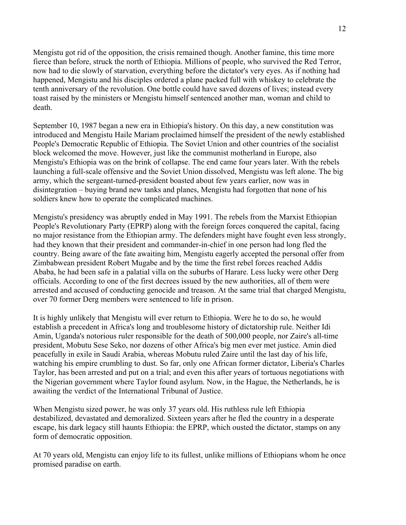Mengistu got rid of the opposition, the crisis remained though. Another famine, this time more fierce than before, struck the north of Ethiopia. Millions of people, who survived the Red Terror, now had to die slowly of starvation, everything before the dictator's very eyes. As if nothing had happened, Mengistu and his disciples ordered a plane packed full with whiskey to celebrate the tenth anniversary of the revolution. One bottle could have saved dozens of lives; instead every toast raised by the ministers or Mengistu himself sentenced another man, woman and child to death.

September 10, 1987 began a new era in Ethiopia's history. On this day, a new constitution was introduced and Mengistu Haile Mariam proclaimed himself the president of the newly established People's Democratic Republic of Ethiopia. The Soviet Union and other countries of the socialist block welcomed the move. However, just like the communist motherland in Europe, also Mengistu's Ethiopia was on the brink of collapse. The end came four years later. With the rebels launching a full-scale offensive and the Soviet Union dissolved, Mengistu was left alone. The big army, which the sergeant-turned-president boasted about few years earlier, now was in disintegration – buying brand new tanks and planes, Mengistu had forgotten that none of his soldiers knew how to operate the complicated machines.

Mengistu's presidency was abruptly ended in May 1991. The rebels from the Marxist Ethiopian People's Revolutionary Party (EPRP) along with the foreign forces conquered the capital, facing no major resistance from the Ethiopian army. The defenders might have fought even less strongly, had they known that their president and commander-in-chief in one person had long fled the country. Being aware of the fate awaiting him, Mengistu eagerly accepted the personal offer from Zimbabwean president Robert Mugabe and by the time the first rebel forces reached Addis Ababa, he had been safe in a palatial villa on the suburbs of Harare. Less lucky were other Derg officials. According to one of the first decrees issued by the new authorities, all of them were arrested and accused of conducting genocide and treason. At the same trial that charged Mengistu, over 70 former Derg members were sentenced to life in prison.

It is highly unlikely that Mengistu will ever return to Ethiopia. Were he to do so, he would establish a precedent in Africa's long and troublesome history of dictatorship rule. Neither Idi Amin, Uganda's notorious ruler responsible for the death of 500,000 people, nor Zaire's all-time president, Mobutu Sese Seko, nor dozens of other Africa's big men ever met justice. Amin died peacefully in exile in Saudi Arabia, whereas Mobutu ruled Zaire until the last day of his life, watching his empire crumbling to dust. So far, only one African former dictator, Liberia's Charles Taylor, has been arrested and put on a trial; and even this after years of tortuous negotiations with the Nigerian government where Taylor found asylum. Now, in the Hague, the Netherlands, he is awaiting the verdict of the International Tribunal of Justice.

When Mengistu sized power, he was only 37 years old. His ruthless rule left Ethiopia destabilized, devastated and demoralized. Sixteen years after he fled the country in a desperate escape, his dark legacy still haunts Ethiopia: the EPRP, which ousted the dictator, stamps on any form of democratic opposition.

At 70 years old, Mengistu can enjoy life to its fullest, unlike millions of Ethiopians whom he once promised paradise on earth.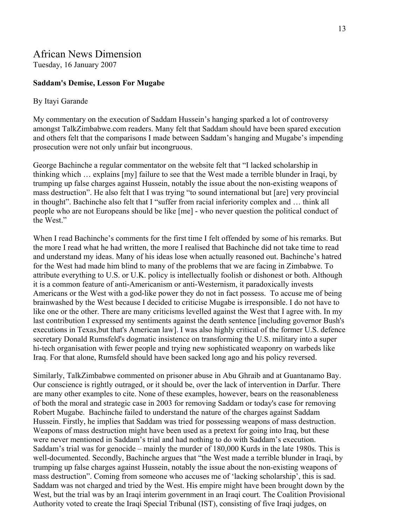## African News Dimension

Tuesday, 16 January 2007

#### **Saddam's Demise, Lesson For Mugabe**

#### By Itayi Garande

My commentary on the execution of Saddam Hussein's hanging sparked a lot of controversy amongst TalkZimbabwe.com readers. Many felt that Saddam should have been spared execution and others felt that the comparisons I made between Saddam's hanging and Mugabe's impending prosecution were not only unfair but incongruous.

George Bachinche a regular commentator on the website felt that "I lacked scholarship in thinking which … explains [my] failure to see that the West made a terrible blunder in Iraqi, by trumping up false charges against Hussein, notably the issue about the non-existing weapons of mass destruction". He also felt that I was trying "to sound international but [are] very provincial in thought". Bachinche also felt that I "suffer from racial inferiority complex and … think all people who are not Europeans should be like [me] - who never question the political conduct of the West."

When I read Bachinche's comments for the first time I felt offended by some of his remarks. But the more I read what he had written, the more I realised that Bachinche did not take time to read and understand my ideas. Many of his ideas lose when actually reasoned out. Bachinche's hatred for the West had made him blind to many of the problems that we are facing in Zimbabwe. To attribute everything to U.S. or U.K. policy is intellectually foolish or dishonest or both. Although it is a common feature of anti-Americanism or anti-Westernism, it paradoxically invests Americans or the West with a god-like power they do not in fact possess. To accuse me of being brainwashed by the West because I decided to criticise Mugabe is irresponsible. I do not have to like one or the other. There are many criticisms levelled against the West that I agree with. In my last contribution I expressed my sentiments against the death sentence [including governor Bush's executions in Texas,but that's American law]. I was also highly critical of the former U.S. defence secretary Donald Rumsfeld's dogmatic insistence on transforming the U.S. military into a super hi-tech organisation with fewer people and trying new sophisticated weaponry on warbeds like Iraq. For that alone, Rumsfeld should have been sacked long ago and his policy reversed.

Similarly, TalkZimbabwe commented on prisoner abuse in Abu Ghraib and at Guantanamo Bay. Our conscience is rightly outraged, or it should be, over the lack of intervention in Darfur. There are many other examples to cite. None of these examples, however, bears on the reasonableness of both the moral and strategic case in 2003 for removing Saddam or today's case for removing Robert Mugabe. Bachinche failed to understand the nature of the charges against Saddam Hussein. Firstly, he implies that Saddam was tried for possessing weapons of mass destruction. Weapons of mass destruction might have been used as a pretext for going into Iraq, but these were never mentioned in Saddam's trial and had nothing to do with Saddam's execution. Saddam's trial was for genocide – mainly the murder of 180,000 Kurds in the late 1980s. This is well-documented. Secondly, Bachinche argues that "the West made a terrible blunder in Iraqi, by trumping up false charges against Hussein, notably the issue about the non-existing weapons of mass destruction". Coming from someone who accuses me of 'lacking scholarship', this is sad. Saddam was not charged and tried by the West. His empire might have been brought down by the West, but the trial was by an Iraqi interim government in an Iraqi court. The Coalition Provisional Authority voted to create the Iraqi Special Tribunal (IST), consisting of five Iraqi judges, on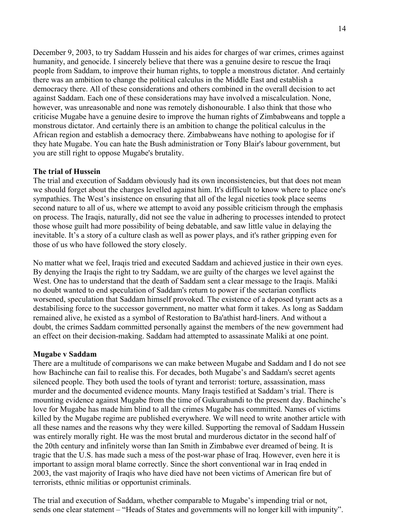December 9, 2003, to try Saddam Hussein and his aides for charges of war crimes, crimes against humanity, and genocide. I sincerely believe that there was a genuine desire to rescue the Iraqi people from Saddam, to improve their human rights, to topple a monstrous dictator. And certainly there was an ambition to change the political calculus in the Middle East and establish a democracy there. All of these considerations and others combined in the overall decision to act against Saddam. Each one of these considerations may have involved a miscalculation. None, however, was unreasonable and none was remotely dishonourable. I also think that those who criticise Mugabe have a genuine desire to improve the human rights of Zimbabweans and topple a monstrous dictator. And certainly there is an ambition to change the political calculus in the African region and establish a democracy there. Zimbabweans have nothing to apologise for if they hate Mugabe. You can hate the Bush administration or Tony Blair's labour government, but you are still right to oppose Mugabe's brutality.

#### **The trial of Hussein**

The trial and execution of Saddam obviously had its own inconsistencies, but that does not mean we should forget about the charges levelled against him. It's difficult to know where to place one's sympathies. The West's insistence on ensuring that all of the legal niceties took place seems second nature to all of us, where we attempt to avoid any possible criticism through the emphasis on process. The Iraqis, naturally, did not see the value in adhering to processes intended to protect those whose guilt had more possibility of being debatable, and saw little value in delaying the inevitable. It's a story of a culture clash as well as power plays, and it's rather gripping even for those of us who have followed the story closely.

No matter what we feel, Iraqis tried and executed Saddam and achieved justice in their own eyes. By denying the Iraqis the right to try Saddam, we are guilty of the charges we level against the West. One has to understand that the death of Saddam sent a clear message to the Iraqis. Maliki no doubt wanted to end speculation of Saddam's return to power if the sectarian conflicts worsened, speculation that Saddam himself provoked. The existence of a deposed tyrant acts as a destabilising force to the successor government, no matter what form it takes. As long as Saddam remained alive, he existed as a symbol of Restoration to Ba'athist hard-liners. And without a doubt, the crimes Saddam committed personally against the members of the new government had an effect on their decision-making. Saddam had attempted to assassinate Maliki at one point.

#### **Mugabe v Saddam**

There are a multitude of comparisons we can make between Mugabe and Saddam and I do not see how Bachinche can fail to realise this. For decades, both Mugabe's and Saddam's secret agents silenced people. They both used the tools of tyrant and terrorist: torture, assassination, mass murder and the documented evidence mounts. Many Iraqis testified at Saddam's trial. There is mounting evidence against Mugabe from the time of Gukurahundi to the present day. Bachinche's love for Mugabe has made him blind to all the crimes Mugabe has committed. Names of victims killed by the Mugabe regime are published everywhere. We will need to write another article with all these names and the reasons why they were killed. Supporting the removal of Saddam Hussein was entirely morally right. He was the most brutal and murderous dictator in the second half of the 20th century and infinitely worse than Ian Smith in Zimbabwe ever dreamed of being. It is tragic that the U.S. has made such a mess of the post-war phase of Iraq. However, even here it is important to assign moral blame correctly. Since the short conventional war in Iraq ended in 2003, the vast majority of Iraqis who have died have not been victims of American fire but of terrorists, ethnic militias or opportunist criminals.

The trial and execution of Saddam, whether comparable to Mugabe's impending trial or not, sends one clear statement – "Heads of States and governments will no longer kill with impunity".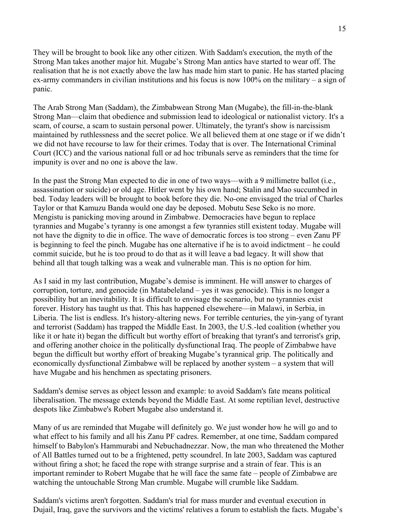They will be brought to book like any other citizen. With Saddam's execution, the myth of the Strong Man takes another major hit. Mugabe's Strong Man antics have started to wear off. The realisation that he is not exactly above the law has made him start to panic. He has started placing ex-army commanders in civilian institutions and his focus is now 100% on the military – a sign of panic.

The Arab Strong Man (Saddam), the Zimbabwean Strong Man (Mugabe), the fill-in-the-blank Strong Man—claim that obedience and submission lead to ideological or nationalist victory. It's a scam, of course, a scam to sustain personal power. Ultimately, the tyrant's show is narcissism maintained by ruthlessness and the secret police. We all believed them at one stage or if we didn't we did not have recourse to law for their crimes. Today that is over. The International Criminal Court (ICC) and the various national full or ad hoc tribunals serve as reminders that the time for impunity is over and no one is above the law.

In the past the Strong Man expected to die in one of two ways—with a 9 millimetre ballot (i.e., assassination or suicide) or old age. Hitler went by his own hand; Stalin and Mao succumbed in bed. Today leaders will be brought to book before they die. No-one envisaged the trial of Charles Taylor or that Kamuzu Banda would one day be deposed. Mobutu Sese Seko is no more. Mengistu is panicking moving around in Zimbabwe. Democracies have begun to replace tyrannies and Mugabe's tyranny is one amongst a few tyrannies still existent today. Mugabe will not have the dignity to die in office. The wave of democratic forces is too strong – even Zanu PF is beginning to feel the pinch. Mugabe has one alternative if he is to avoid indictment – he could commit suicide, but he is too proud to do that as it will leave a bad legacy. It will show that behind all that tough talking was a weak and vulnerable man. This is no option for him.

As I said in my last contribution, Mugabe's demise is imminent. He will answer to charges of corruption, torture, and genocide (in Matabeleland – yes it was genocide). This is no longer a possibility but an inevitability. It is difficult to envisage the scenario, but no tyrannies exist forever. History has taught us that. This has happened elsewehere—in Malawi, in Serbia, in Liberia. The list is endless. It's history-altering news. For terrible centuries, the yin-yang of tyrant and terrorist (Saddam) has trapped the Middle East. In 2003, the U.S.-led coalition (whether you like it or hate it) began the difficult but worthy effort of breaking that tyrant's and terrorist's grip, and offering another choice in the politically dysfunctional Iraq. The people of Zimbabwe have begun the difficult but worthy effort of breaking Mugabe's tyrannical grip. The politically and economically dysfunctional Zimbabwe will be replaced by another system – a system that will have Mugabe and his henchmen as spectating prisoners.

Saddam's demise serves as object lesson and example: to avoid Saddam's fate means political liberalisation. The message extends beyond the Middle East. At some reptilian level, destructive despots like Zimbabwe's Robert Mugabe also understand it.

Many of us are reminded that Mugabe will definitely go. We just wonder how he will go and to what effect to his family and all his Zanu PF cadres. Remember, at one time, Saddam compared himself to Babylon's Hammurabi and Nebuchadnezzar. Now, the man who threatened the Mother of All Battles turned out to be a frightened, petty scoundrel. In late 2003, Saddam was captured without firing a shot; he faced the rope with strange surprise and a strain of fear. This is an important reminder to Robert Mugabe that he will face the same fate – people of Zimbabwe are watching the untouchable Strong Man crumble. Mugabe will crumble like Saddam.

Saddam's victims aren't forgotten. Saddam's trial for mass murder and eventual execution in Dujail, Iraq, gave the survivors and the victims' relatives a forum to establish the facts. Mugabe's